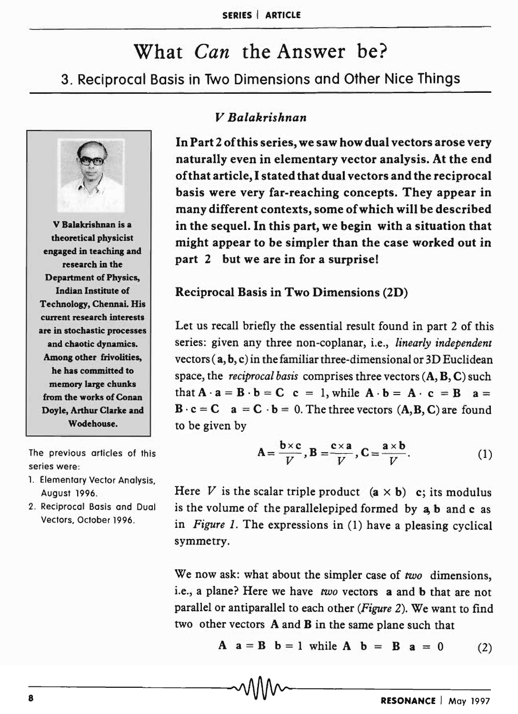# What *Can* the Answer be? 3. Reciprocal Basis in Two Dimensions and Other Nice Things



V Balakrishnan is a theoretical physicist engaged in teaching and research in the Department of Physics, Indian Institute of Technology, Chennai. His current research interests are in stochastic processes and chaotic dynamics. Among other frivolities, he has committed to memory large chunks from the works of Conan Doyle, Arthur Clarke and Wodehouse.

The previous articles of this series were:

- 1. Elementary Vector Analysis, August 1996.
- 2. Reciprocal Basis and Dual Vectors, October 1996.

## *V Balakrishnan*

In Part 2 of this series, we saw how dual vectors arose very naturally even in elementary vector analysis. At the end of that article, I stated that dual vectors and the reciprocal basis were very far-reaching concepts. They appear in many different contexts, some of which will be described in the sequel. In this part, we begin with a situation that might appear to be simpler than the case worked out in part 2 but we are in for a surprise!

Reciprocal Basis in Two Dimensions (2D)

Let us recall briefly the essential result found in part 2 of this series: given any three non-coplanar, i.e., *linearly independent*  vectors ( a, b, c) in the familiar three-dimensional or 3D Euclidean space, the *reciprocal basis* comprises three vectors (A, B, C) such that  $A \cdot a = B \cdot b = C$  c = 1, while  $A \cdot b = A \cdot c = B$  a =  $\mathbf{B} \cdot \mathbf{c} = \mathbf{C} \quad \mathbf{a} = \mathbf{C} \cdot \mathbf{b} = 0$ . The three vectors  $(\mathbf{A}, \mathbf{B}, \mathbf{C})$  are found to be given by

$$
\mathbf{A} = \frac{\mathbf{b} \times \mathbf{c}}{V}, \mathbf{B} = \frac{\mathbf{c} \times \mathbf{a}}{V}, \mathbf{C} = \frac{\mathbf{a} \times \mathbf{b}}{V}.
$$
 (1)

Here V is the scalar triple product  $(a \times b)$  c; its modulus is the volume of the parallelepiped formed by a, b and c as in *Figure* 1. The expressions in (1) have a pleasing cyclical symmetry.

We now ask: what about the simpler case of *two* dimensions, i.e., a plane? Here we have *two* vectors a and b that are not parallel or antiparallel to each other *(Figure* 2). We want to find two other vectors  $A$  and  $B$  in the same plane such that

A  $a = B$   $b = 1$  while A  $b = B$   $a = 0$  (2)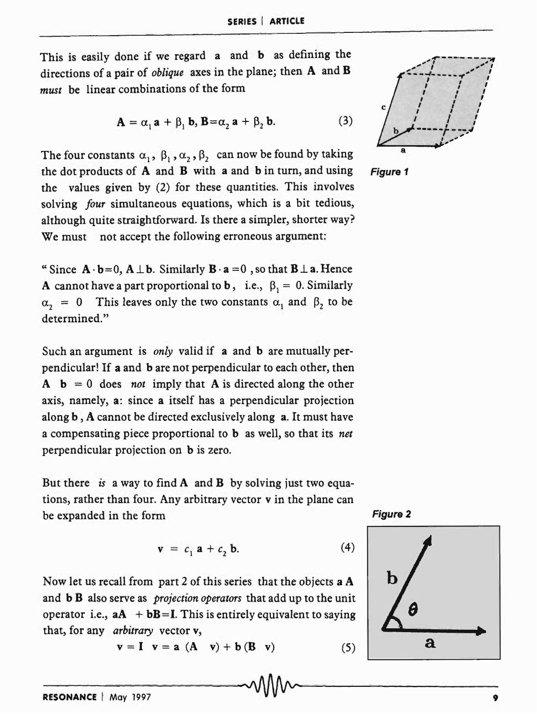This is easily done if we regard a and b as defining the directions of a pair of *oblique* axes in the plane; then A and B *must* be linear combinations of the form

$$
\mathbf{A} = \alpha, \mathbf{a} + \beta, \mathbf{b}, \mathbf{B} = \alpha, \mathbf{a} + \beta, \mathbf{b}.
$$
 (3)

The four constants  $\alpha_1$ ,  $\beta_1$ ,  $\alpha_2$ ,  $\beta_2$  can now be found by taking the dot products of A and B with a and b in turn, and using the values given by (2) for these quantities. This involves solving *four* simultaneous equations, which is a bit tedious, although quite straightforward. Is there a simpler, shorter way? We must not accept the following erroneous argument:

"Since  $\mathbf{A} \cdot \mathbf{b} = 0$ ,  $\mathbf{A} \perp \mathbf{b}$ . Similarly  $\mathbf{B} \cdot \mathbf{a} = 0$ , so that  $\mathbf{B} \perp \mathbf{a}$ . Hence A cannot have a part proportional to b, i.e.,  $\beta_1 = 0$ . Similarly  $\alpha_2 = 0$  This leaves only the two constants  $\alpha_1$  and  $\beta_2$  to be determined."

Such an argument is *only* valid if a and b are mutually perpendicular! If a and b are not perpendicular to each other, then  $A \quad b = 0$  does *not* imply that A is directed along the other axis, namely, a: since a itself has a perpendicular projection along b, A cannot be directed exclusively along a. It must have a compensating piece proportional to b as well, so that its *net*  perpendicular projection on b is zero.

But there is a way to find  $A$  and  $B$  by solving just two equations, rather than four. Any arbitrary vector v in the plane can be expanded in the form Figure 2

$$
\mathbf{v} = c_1 \mathbf{a} + c_2 \mathbf{b}.\tag{4}
$$

Now let us recall from part 2 of this series that the objects a A and b B also serve as *projection operators* that add up to the unit operator i.e.,  $aA + bB = I$ . This is entirely equivalent to saying that, for any *arbitrary* vector v,

 $v = I$   $v = a (A \ v) + b (B \ v)$  (5) **a** 



Figure 1



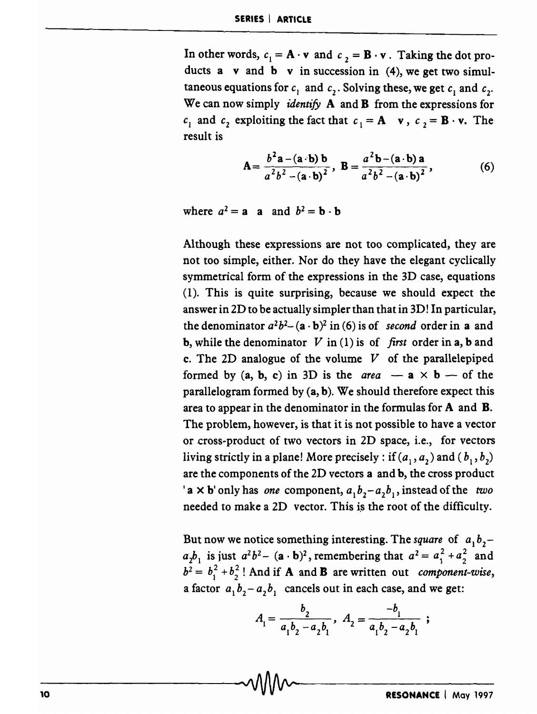In other words,  $c_1 = \mathbf{A} \cdot \mathbf{v}$  and  $c_2 = \mathbf{B} \cdot \mathbf{v}$ . Taking the dot products  $a \text{ v and } b \text{ v in succession in (4), we get two simul$ taneous equations for  $c_1$  and  $c_2$ . Solving these, we get  $c_1$  and  $c_2$ . We can now simply *identify* A and B from the expressions for *c*<sub>1</sub> and *c*<sub>2</sub> exploiting the fact that  $c_1 = A \times c_2 = B \times c$ . The result is

$$
\mathbf{A} = \frac{b^2 \mathbf{a} - (\mathbf{a} \cdot \mathbf{b}) \mathbf{b}}{a^2 b^2 - (\mathbf{a} \cdot \mathbf{b})^2}, \ \mathbf{B} = \frac{a^2 \mathbf{b} - (\mathbf{a} \cdot \mathbf{b}) \mathbf{a}}{a^2 b^2 - (\mathbf{a} \cdot \mathbf{b})^2}, \tag{6}
$$

where  $a^2 = a$  a and  $b^2 = b \cdot b$ 

Although these expressions are not too complicated, they are not too simple, either. Nor do they have the elegant cyclically symmetrical form of the expressions in the 3D case, equations (1). This is quite surprising, because we should expect the answer in 2D to be actually simpler than that in 3D! In particular, the denominator  $a^2b^2 - (a \cdot b)^2$  in (6) is of *second* order in a and **b**, while the denominator  $V$  in (1) is of *first* order in a, **b** and c. The 2D analogue of the volume  $V$  of the parallelepiped formed by  $(a, b, c)$  in 3D is the *area* -  $a \times b$  - of the parallelogram formed by  $(a, b)$ . We should therefore expect this area to appear in the denominator in the formulas for A and B. The problem, however, is that it is not possible to have a vector or cross-product of two vectors in 2D space, i.e., for vectors living strictly in a plane! More precisely : if  $(a_1, a_2)$  and  $(b_1, b_2)$ are the components of the 2D vectors a and b, the cross product 'a  $\times$  **b**' only has *one* component,  $a_1b_2 - a_2b_1$ , instead of the *two* needed to make a 2D vector. This is the root of the difficulty.

But now we notice something interesting. The square of  $a_1b_2$  $a_2b_1$  is just  $a^2b^2 - (a \cdot b)^2$ , remembering that  $a^2 = a_1^2 + a_2^2$  and  $b^2 = b_1^2 + b_2^2$ ! And if **A** and **B** are written out *component-wise*, a factor  $a_1 b_2 - a_2 b_1$  cancels out in each case, and we get:

$$
A_1 = \frac{b_2}{a_1b_2 - a_2b_1}, \ A_2 = \frac{-b_1}{a_1b_2 - a_2b_1} ;
$$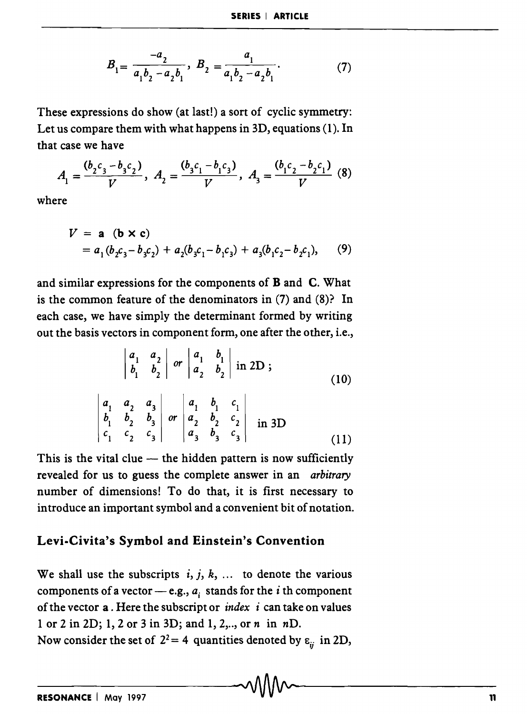$$
B_1 = \frac{-a_2}{a_1 b_2 - a_2 b_1}, \ B_2 = \frac{a_1}{a_1 b_2 - a_2 b_1}.
$$
 (7)

These expressions do show (at last!) a sort of cyclic symmetry: Let us compare them with what happens in 3D, equations (1). In that case we have

$$
A_1 = \frac{(b_2c_3 - b_3c_2)}{V}, A_2 = \frac{(b_3c_1 - b_1c_3)}{V}, A_3 = \frac{(b_1c_2 - b_2c_1)}{V} (8)
$$

where

$$
V = \mathbf{a} \ (\mathbf{b} \times \mathbf{c})
$$
  
=  $a_1 (b_2 c_3 - b_3 c_2) + a_2 (b_3 c_1 - b_1 c_3) + a_3 (b_1 c_2 - b_2 c_1),$  (9)

and similar expressions for the components of **B** and **C**. What is the common feature of the denominators in (7) and (8)? In each case, we have simply the determinant formed by writing out the basis vectors in component form, one after the other, i.e.,

$$
\begin{vmatrix} a_1 & a_2 \\ b_1 & b_2 \end{vmatrix}
$$
 or 
$$
\begin{vmatrix} a_1 & b_1 \\ a_2 & b_2 \end{vmatrix}
$$
 in 2D ; (10)

$$
\begin{vmatrix} a_1 & a_2 & a_3 \ b_1 & b_2 & b_3 \ c_1 & c_2 & c_3 \ \end{vmatrix} or \begin{vmatrix} a_1 & b_1 & c_1 \ a_2 & b_2 & c_2 \ a_3 & b_3 & c_3 \end{vmatrix}
$$
 in 3D (11)

This is the vital clue  $-$  the hidden pattern is now sufficiently revealed for us to guess the complete answer in an *arbitrary*  number of dimensions! To do that, it is first necessary to introduce an important symbol and a convenient bit of notation.

# Levi-Civita's Symbol and Einstein's Convention

We shall use the subscripts  $i, j, k, ...$  to denote the various components of a vector  $-$  e.g.,  $a_i$  stands for the *i* th component of the vector a . Here the subscript or *index i* can take on values 1 or 2 in 2D; 1,2 or 3 in 3D; and 1, 2, .. , or *n* in *nD.*  Now consider the set of  $2^2 = 4$  quantities denoted by  $\varepsilon_{ii}$  in 2D,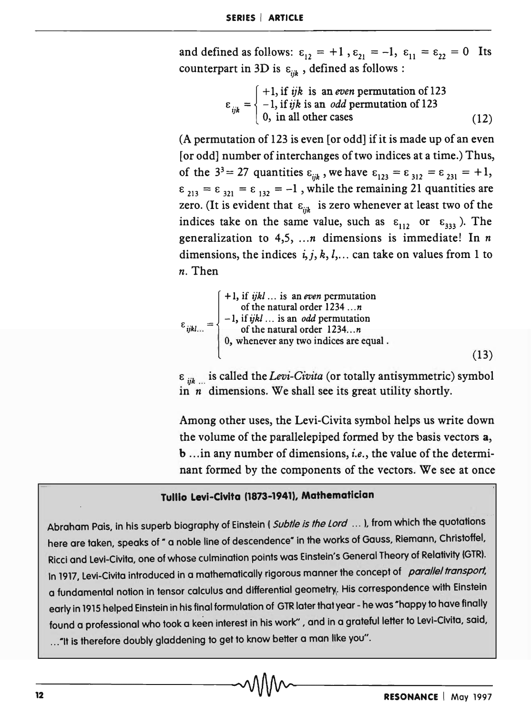and defined as follows:  $\varepsilon_{12} = +1$ ,  $\varepsilon_{21} = -1$ ,  $\varepsilon_{11} = \varepsilon_{22} = 0$  Its counterpart in 3D is  $\varepsilon_{ijk}$ , defined as follows:

$$
\varepsilon_{ijk} = \begin{cases}\n+1, \text{ if } ijk \text{ is an even permutation of } 123 \\
-1, \text{ if } ijk \text{ is an } odd \text{ permutation of } 123 \\
0, \text{ in all other cases}\n\end{cases}
$$
\n(12)

(A permutation of 123 is even [or odd] if it is made up of an even [or odd] number of interchanges of two indices at a time.) Thus, of the  $3^3 = 27$  quantities  $\varepsilon_{ijk}$ , we have  $\varepsilon_{123} = \varepsilon_{312} = \varepsilon_{231} = +1$ ,  $\epsilon_{213} = \epsilon_{321} = \epsilon_{132} = -1$ , while the remaining 21 quantities are zero. (It is evident that  $\varepsilon_{ijk}$  is zero whenever at least two of the indices take on the same value, such as  $\varepsilon_{112}$  or  $\varepsilon_{333}$ ). The generalization to 4,5, *... n* dimensions is immediate! In *n*  dimensions, the indices  $i, j, k, l, \ldots$  can take on values from 1 to *n.* Then

$$
\varepsilon_{ijkl...} = \begin{cases}\n+1, \text{ if } ijkl... \text{ is an even permutation} \\
-1, \text{ if } jkl... \text{ is an odd permutation} \\
-1, \text{ if } jkl... \text{ is an odd permutation} \\
\text{ of the natural order } 1234...n \\
0, \text{ whenever any two indices are equal.} \n\end{cases}
$$
\n(13)

 $\varepsilon_{ijk}$  is called the *Levi-Civita* (or totally antisymmetric) symbol in *n* dimensions. We shall see its great utility shortly.

Among other uses, the Levi-Civita symbol helps us write down the volume of the parallelepiped formed by the basis vectors a, b ... in any number of dimensions, *i.e.,* the value of the determinant formed by the components of the vectors. We see at once

#### Tullio Levi-Clvita (1873-1941), Mathematician

Abraham Pais, in his superb biography of Einstein (Subtle is the Lord ... ), from which the quotations here are taken, speaks of " a noble line of descendence" in the works of Gauss, Riemann, Christoffel. Ricci and levi-Civita, one of whose culmination points was Einstein's General Theory of Relativity (GTR). In 1917, Levi-Civita introduced in a mathematically rigorous manner the concept of parallel transport, a fundamental notion in tensor calculus and differential geometry. His correspondence with Einstein early in 1915 helped Einstein in his final formulation of GTR later that year - he was "happy to have finally found a professional who took a keen interest in his work", and in a grateful letter to Levi-Civita, said, ... "It is therefore doubly gladdening to get to know better a man like you".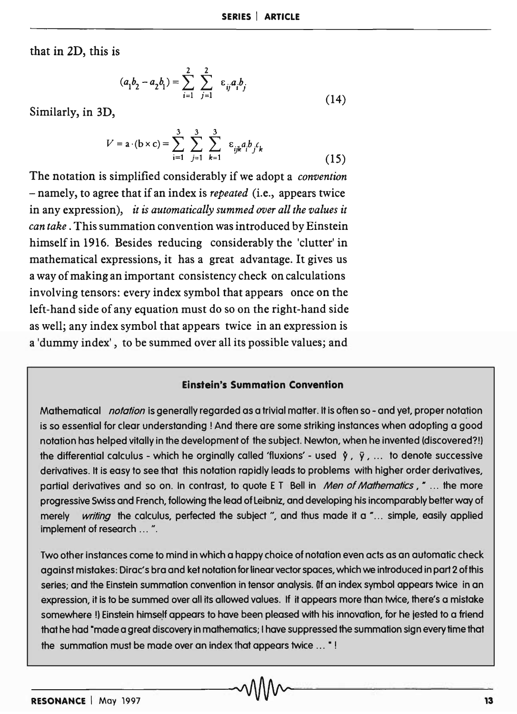that in 2D, this is

$$
(a_1b_2 - a_2b_1) = \sum_{i=1}^{2} \sum_{j=1}^{2} \varepsilon_{ij}a_ib_j
$$
 (14)

Similarly, in 3D,

$$
V = \mathbf{a} \cdot (\mathbf{b} \times \mathbf{c}) = \sum_{i=1}^{3} \sum_{j=1}^{3} \sum_{k=1}^{3} \varepsilon_{ijk} a_i b_j c_k
$$
 (15)

The notation is simplified considerably if we adopt a *convention*  - namely, to agree that if an index is *repeated* (i.e., appears twice in any expression), *it* is *automatically summed over all the values it can take.* This summation convention was introduced by Einstein himself in 1916. Besides reducing considerably the 'clutter'in mathematical expressions, it has a great advantage. It gives us a way of making an important consistency check on calculations involving tensors: every index symbol that appears once on the left-hand side of any equation must do so on the right-hand side as well; any index symbol that appears twice in an expression is a 'dummy index', to be summed over all its possible values; and

### **Einstein's Summation Convention**

Mathematical *notation* is generally regarded as a trivial matter. It is often so - and yet, proper notation is so essential for clear understanding! And there are some striking instances when adopting a good notation has helped vitally in the development of the subject. Newton, when he invented (discovered?!) the differential calculus - which he orginally called 'fluxions' - used  $\dot{y}$ ,  $\ddot{y}$ , ... to denote successive derivatives. It is easy to see that this notation rapidly leads to problems with higher order derivatives, partial derivatives and so on. In contrast, to quote E T Bell in *Men of Mathematics*," ... the more progressive Swiss and French, following the lead of leibniz, and developing his incomparably better way of merely *writing* the calculus, perfected the subject ", and thus made it a "... simple, easily applied implement of research ... ".

Two other instances come to mind in which a happy choice of notation even acts as an automatic check against mistakes: Dirac's bra and ket notation for linear vector spaces, which we introduced in part 2 of this series; and the Einstein summation convention in tensor analysis. If an index symbol appears twice in an expression, it is to be summed over all its allowed values. If it appears more than twice, there's a mistake somewhere !) Einstein himself appears to have been pleased with his innovation, for he jested to a friend that he had "made a great discovery in mathematics; I have suppressed the summation sign every time that the summation must be made over an index that appears twice ... "!